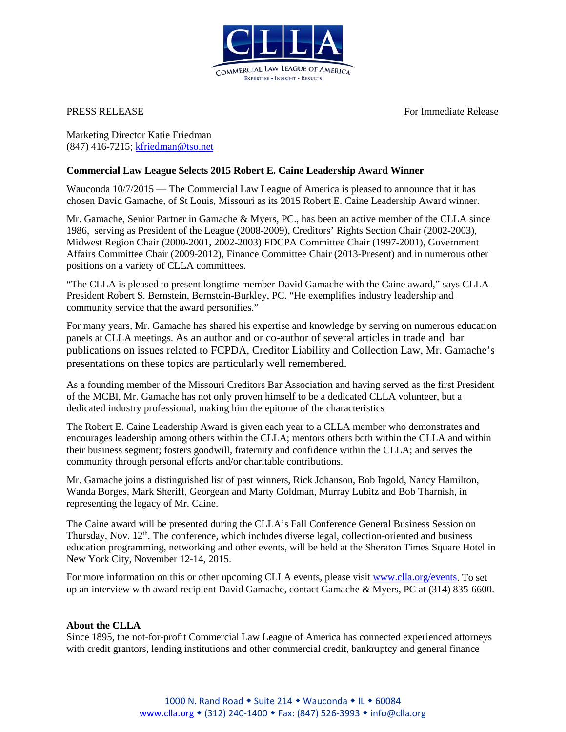

**PRESS RELEASE** For Immediate Release For Immediate Release

Marketing Director Katie Friedman (847) 416-7215; [kfriedman@tso.net](mailto:kfriedman@tso.net)

## **Commercial Law League Selects 2015 Robert E. Caine Leadership Award Winner**

Wauconda  $10/7/2015$  — The Commercial Law League of America is pleased to announce that it has chosen David Gamache, of St Louis, Missouri as its 2015 Robert E. Caine Leadership Award winner.

Mr. Gamache, Senior Partner in Gamache & Myers, PC., has been an active member of the CLLA since 1986, serving as President of the League (2008-2009), Creditors' Rights Section Chair (2002-2003), Midwest Region Chair (2000-2001, 2002-2003) FDCPA Committee Chair (1997-2001), Government Affairs Committee Chair (2009-2012), Finance Committee Chair (2013-Present) and in numerous other positions on a variety of CLLA committees.

"The CLLA is pleased to present longtime member David Gamache with the Caine award," says CLLA President Robert S. Bernstein, Bernstein-Burkley, PC. "He exemplifies industry leadership and community service that the award personifies."

For many years, Mr. Gamache has shared his expertise and knowledge by serving on numerous education panels at CLLA meetings. As an author and or co-author of several articles in trade and bar publications on issues related to FCPDA, Creditor Liability and Collection Law, Mr. Gamache's presentations on these topics are particularly well remembered.

As a founding member of the Missouri Creditors Bar Association and having served as the first President of the MCBI, Mr. Gamache has not only proven himself to be a dedicated CLLA volunteer, but a dedicated industry professional, making him the epitome of the characteristics

The Robert E. Caine Leadership Award is given each year to a CLLA member who demonstrates and encourages leadership among others within the CLLA; mentors others both within the CLLA and within their business segment; fosters goodwill, fraternity and confidence within the CLLA; and serves the community through personal efforts and/or charitable contributions.

Mr. Gamache joins a distinguished list of past winners, Rick Johanson, Bob Ingold, Nancy Hamilton, Wanda Borges, Mark Sheriff, Georgean and Marty Goldman, Murray Lubitz and Bob Tharnish, in representing the legacy of Mr. Caine.

The Caine award will be presented during the CLLA's Fall Conference General Business Session on Thursday, Nov.  $12<sup>th</sup>$ . The conference, which includes diverse legal, collection-oriented and business education programming, networking and other events, will be held at the Sheraton Times Square Hotel in New York City, November 12-14, 2015.

For more information on this or other upcoming CLLA events, please visit [www.clla.org/events.](http://bit.ly/1tm1GAx) To set up an interview with award recipient David Gamache, contact Gamache & Myers, PC at (314) 835-6600.

## **About the CLLA**

Since 1895, the not-for-profit Commercial Law League of America has connected experienced attorneys with credit grantors, lending institutions and other commercial credit, bankruptcy and general finance